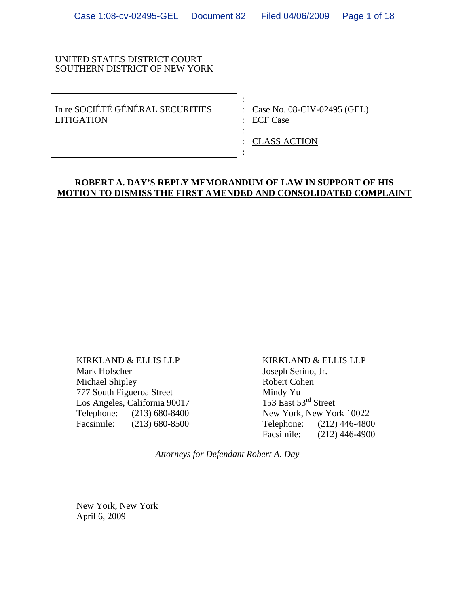#### UNITED STATES DISTRICT COURT SOUTHERN DISTRICT OF NEW YORK

the contract of the contract of the contract of the contract of the contract of the contract of the contract of In re SOCIÉTÉ GÉNÉRAL SECURITIES : Case No. 08-CIV-02495 (GEL) LITIGATION : ECF Case

: CLASS ACTION

### **ROBERT A. DAY'S REPLY MEMORANDUM OF LAW IN SUPPORT OF HIS MOTION TO DISMISS THE FIRST AMENDED AND CONSOLIDATED COMPLAINT**

**:**

**Service State State State State** 

KIRKLAND & ELLIS LLP Mark Holscher Michael Shipley 777 South Figueroa Street Los Angeles, California 90017 Telephone: (213) 680-8400 Facsimile: (213) 680-8500

KIRKLAND & ELLIS LLP Joseph Serino, Jr. Robert Cohen Mindy Yu 153 East 53<sup>rd</sup> Street New York, New York 10022 Telephone: (212) 446-4800<br>Facsimile: (212) 446-4900  $(212)$  446-4900

*Attorneys for Defendant Robert A. Day* 

New York, New York April 6, 2009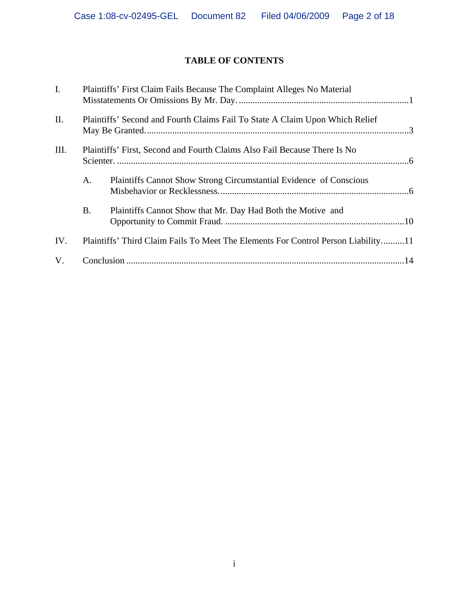# **TABLE OF CONTENTS**

| $\mathbf{I}$ . | Plaintiffs' First Claim Fails Because The Complaint Alleges No Material           |                                                                    |  |
|----------------|-----------------------------------------------------------------------------------|--------------------------------------------------------------------|--|
| II.            | Plaintiffs' Second and Fourth Claims Fail To State A Claim Upon Which Relief      |                                                                    |  |
| III.           | Plaintiffs' First, Second and Fourth Claims Also Fail Because There Is No         |                                                                    |  |
|                | A.                                                                                | Plaintiffs Cannot Show Strong Circumstantial Evidence of Conscious |  |
|                | B.                                                                                | Plaintiffs Cannot Show that Mr. Day Had Both the Motive and        |  |
| IV.            | Plaintiffs' Third Claim Fails To Meet The Elements For Control Person Liability11 |                                                                    |  |
| V.             |                                                                                   |                                                                    |  |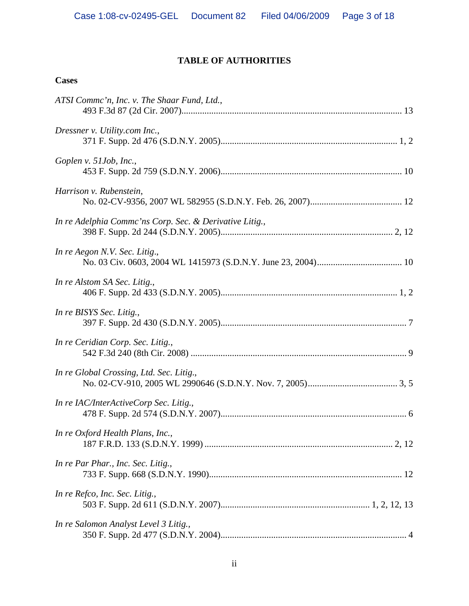# **TABLE OF AUTHORITIES**

## **Cases**

| ATSI Commc'n, Inc. v. The Shaar Fund, Ltd.,             |  |
|---------------------------------------------------------|--|
| Dressner v. Utility.com Inc.,                           |  |
| Goplen v. 51Job, Inc.,                                  |  |
| Harrison v. Rubenstein,                                 |  |
| In re Adelphia Commc'ns Corp. Sec. & Derivative Litig., |  |
| In re Aegon N.V. Sec. Litig.,                           |  |
| In re Alstom SA Sec. Litig.,                            |  |
| In re BISYS Sec. Litig.,                                |  |
| In re Ceridian Corp. Sec. Litig.,                       |  |
| In re Global Crossing, Ltd. Sec. Litig.,                |  |
| In re IAC/InterActiveCorp Sec. Litig.,                  |  |
| In re Oxford Health Plans, Inc.,                        |  |
| In re Par Phar., Inc. Sec. Litig.,                      |  |
| In re Refco, Inc. Sec. Litig.,                          |  |
| In re Salomon Analyst Level 3 Litig.,                   |  |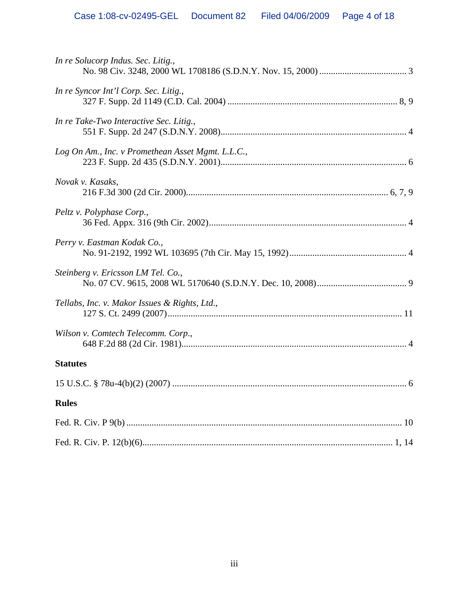| In re Solucorp Indus. Sec. Litig.,                |
|---------------------------------------------------|
| In re Syncor Int'l Corp. Sec. Litig.,             |
| In re Take-Two Interactive Sec. Litig.,           |
| Log On Am., Inc. v Promethean Asset Mgmt. L.L.C., |
| Novak v. Kasaks,                                  |
| Peltz v. Polyphase Corp.,                         |
| Perry v. Eastman Kodak Co.,                       |
| Steinberg v. Ericsson LM Tel. Co.,                |
| Tellabs, Inc. v. Makor Issues & Rights, Ltd.,     |
| Wilson v. Comtech Telecomm. Corp.,                |
| <b>Statutes</b>                                   |
|                                                   |
| <b>Rules</b>                                      |
|                                                   |
|                                                   |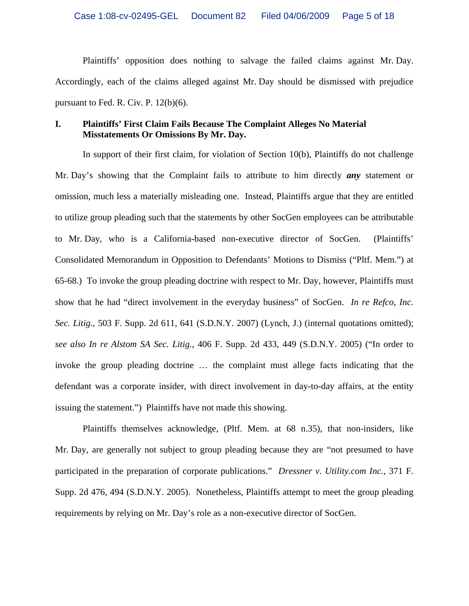Plaintiffs' opposition does nothing to salvage the failed claims against Mr. Day. Accordingly, each of the claims alleged against Mr. Day should be dismissed with prejudice pursuant to Fed. R. Civ. P. 12(b)(6).

#### **I. Plaintiffs' First Claim Fails Because The Complaint Alleges No Material Misstatements Or Omissions By Mr. Day.**

In support of their first claim, for violation of Section 10(b), Plaintiffs do not challenge Mr. Day's showing that the Complaint fails to attribute to him directly *any* statement or omission, much less a materially misleading one. Instead, Plaintiffs argue that they are entitled to utilize group pleading such that the statements by other SocGen employees can be attributable to Mr. Day, who is a California-based non-executive director of SocGen. (Plaintiffs' Consolidated Memorandum in Opposition to Defendants' Motions to Dismiss ("Pltf. Mem.") at 65-68.) To invoke the group pleading doctrine with respect to Mr. Day, however, Plaintiffs must show that he had "direct involvement in the everyday business" of SocGen. *In re Refco, Inc. Sec. Litig.*, 503 F. Supp. 2d 611, 641 (S.D.N.Y. 2007) (Lynch, J.) (internal quotations omitted); *see also In re Alstom SA Sec. Litig.*, 406 F. Supp. 2d 433, 449 (S.D.N.Y. 2005) ("In order to invoke the group pleading doctrine … the complaint must allege facts indicating that the defendant was a corporate insider, with direct involvement in day-to-day affairs, at the entity issuing the statement.") Plaintiffs have not made this showing.

Plaintiffs themselves acknowledge, (Pltf. Mem. at 68 n.35), that non-insiders, like Mr. Day, are generally not subject to group pleading because they are "not presumed to have participated in the preparation of corporate publications." *Dressner v. Utility.com Inc.*, 371 F. Supp. 2d 476, 494 (S.D.N.Y. 2005). Nonetheless, Plaintiffs attempt to meet the group pleading requirements by relying on Mr. Day's role as a non-executive director of SocGen.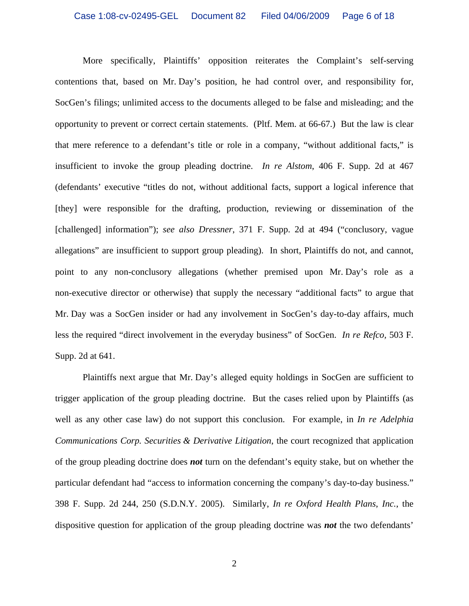More specifically, Plaintiffs' opposition reiterates the Complaint's self-serving contentions that, based on Mr. Day's position, he had control over, and responsibility for, SocGen's filings; unlimited access to the documents alleged to be false and misleading; and the opportunity to prevent or correct certain statements. (Pltf. Mem. at 66-67.) But the law is clear that mere reference to a defendant's title or role in a company, "without additional facts," is insufficient to invoke the group pleading doctrine. *In re Alstom*, 406 F. Supp. 2d at 467 (defendants' executive "titles do not, without additional facts, support a logical inference that [they] were responsible for the drafting, production, reviewing or dissemination of the [challenged] information"); *see also Dressner*, 371 F. Supp. 2d at 494 ("conclusory, vague allegations" are insufficient to support group pleading). In short, Plaintiffs do not, and cannot, point to any non-conclusory allegations (whether premised upon Mr. Day's role as a non-executive director or otherwise) that supply the necessary "additional facts" to argue that Mr. Day was a SocGen insider or had any involvement in SocGen's day-to-day affairs, much less the required "direct involvement in the everyday business" of SocGen. *In re Refco,* 503 F. Supp. 2d at 641.

Plaintiffs next argue that Mr. Day's alleged equity holdings in SocGen are sufficient to trigger application of the group pleading doctrine. But the cases relied upon by Plaintiffs (as well as any other case law) do not support this conclusion. For example, in *In re Adelphia Communications Corp. Securities & Derivative Litigation*, the court recognized that application of the group pleading doctrine does *not* turn on the defendant's equity stake, but on whether the particular defendant had "access to information concerning the company's day-to-day business." 398 F. Supp. 2d 244, 250 (S.D.N.Y. 2005). Similarly, *In re Oxford Health Plans*, *Inc.*, the dispositive question for application of the group pleading doctrine was *not* the two defendants'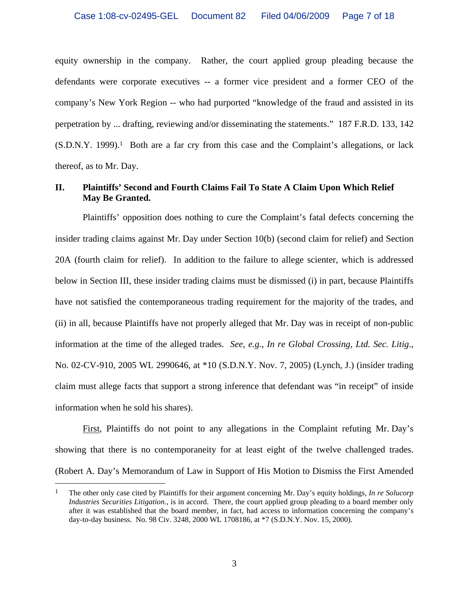equity ownership in the company. Rather, the court applied group pleading because the defendants were corporate executives -- a former vice president and a former CEO of the company's New York Region -- who had purported "knowledge of the fraud and assisted in its perpetration by ... drafting, reviewing and/or disseminating the statements." 187 F.R.D. 133, 142  $(S.D.N.Y. 1999).<sup>1</sup>$  Both are a far cry from this case and the Complaint's allegations, or lack thereof, as to Mr. Day.

#### **II. Plaintiffs' Second and Fourth Claims Fail To State A Claim Upon Which Relief May Be Granted.**

Plaintiffs' opposition does nothing to cure the Complaint's fatal defects concerning the insider trading claims against Mr. Day under Section 10(b) (second claim for relief) and Section 20A (fourth claim for relief). In addition to the failure to allege scienter, which is addressed below in Section III, these insider trading claims must be dismissed (i) in part, because Plaintiffs have not satisfied the contemporaneous trading requirement for the majority of the trades, and (ii) in all, because Plaintiffs have not properly alleged that Mr. Day was in receipt of non-public information at the time of the alleged trades. *See, e.g.*, *In re Global Crossing, Ltd. Sec. Litig*., No. 02-CV-910, 2005 WL 2990646, at \*10 (S.D.N.Y. Nov. 7, 2005) (Lynch, J.) (insider trading claim must allege facts that support a strong inference that defendant was "in receipt" of inside information when he sold his shares).

First, Plaintiffs do not point to any allegations in the Complaint refuting Mr. Day's showing that there is no contemporaneity for at least eight of the twelve challenged trades. (Robert A. Day's Memorandum of Law in Support of His Motion to Dismiss the First Amended

<sup>1</sup> The other only case cited by Plaintiffs for their argument concerning Mr. Day's equity holdings, *In re Solucorp Industries Securities Litigation.*, is in accord. There, the court applied group pleading to a board member only after it was established that the board member, in fact, had access to information concerning the company's day-to-day business. No. 98 Civ. 3248, 2000 WL 1708186, at \*7 (S.D.N.Y. Nov. 15, 2000).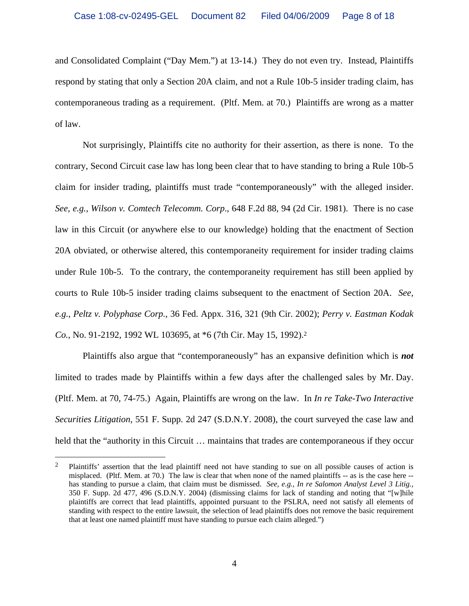and Consolidated Complaint ("Day Mem.") at 13-14.) They do not even try. Instead, Plaintiffs respond by stating that only a Section 20A claim, and not a Rule 10b-5 insider trading claim, has contemporaneous trading as a requirement. (Pltf. Mem. at 70.) Plaintiffs are wrong as a matter of law.

Not surprisingly, Plaintiffs cite no authority for their assertion, as there is none. To the contrary, Second Circuit case law has long been clear that to have standing to bring a Rule 10b-5 claim for insider trading, plaintiffs must trade "contemporaneously" with the alleged insider. *See, e.g.*, *Wilson v. Comtech Telecomm. Corp*., 648 F.2d 88, 94 (2d Cir. 1981). There is no case law in this Circuit (or anywhere else to our knowledge) holding that the enactment of Section 20A obviated, or otherwise altered, this contemporaneity requirement for insider trading claims under Rule 10b-5. To the contrary, the contemporaneity requirement has still been applied by courts to Rule 10b-5 insider trading claims subsequent to the enactment of Section 20A. *See, e.g.*, *Peltz v. Polyphase Corp.*, 36 Fed. Appx. 316, 321 (9th Cir. 2002); *Perry v. Eastman Kodak Co.*, No. 91-2192, 1992 WL 103695, at \*6 (7th Cir. May 15, 1992).2

Plaintiffs also argue that "contemporaneously" has an expansive definition which is *not* limited to trades made by Plaintiffs within a few days after the challenged sales by Mr. Day. (Pltf. Mem. at 70, 74-75.) Again, Plaintiffs are wrong on the law. In *In re Take-Two Interactive Securities Litigation*, 551 F. Supp. 2d 247 (S.D.N.Y. 2008), the court surveyed the case law and held that the "authority in this Circuit ... maintains that trades are contemporaneous if they occur

<sup>&</sup>lt;sup>2</sup> Plaintiffs' assertion that the lead plaintiff need not have standing to sue on all possible causes of action is misplaced. (Pltf. Mem. at 70.) The law is clear that when none of the named plaintiffs -- as is the case here - has standing to pursue a claim, that claim must be dismissed. *See, e.g., In re Salomon Analyst Level 3 Litig.,* 350 F. Supp. 2d 477, 496 (S.D.N.Y. 2004) (dismissing claims for lack of standing and noting that "[w]hile plaintiffs are correct that lead plaintiffs, appointed pursuant to the PSLRA, need not satisfy all elements of standing with respect to the entire lawsuit, the selection of lead plaintiffs does not remove the basic requirement that at least one named plaintiff must have standing to pursue each claim alleged.")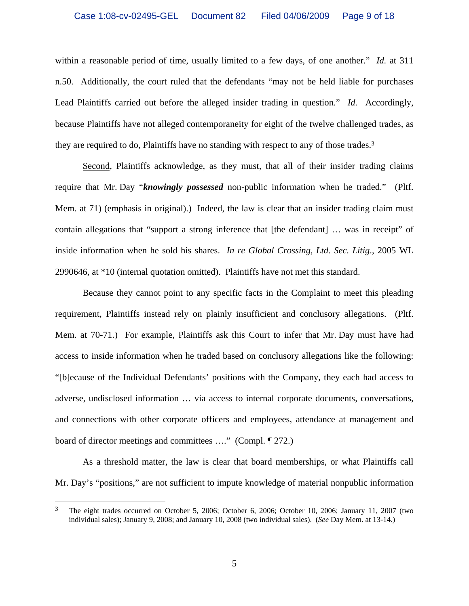within a reasonable period of time, usually limited to a few days, of one another." *Id.* at 311 n.50. Additionally, the court ruled that the defendants "may not be held liable for purchases Lead Plaintiffs carried out before the alleged insider trading in question." *Id.* Accordingly, because Plaintiffs have not alleged contemporaneity for eight of the twelve challenged trades, as they are required to do, Plaintiffs have no standing with respect to any of those trades.3

Second, Plaintiffs acknowledge, as they must, that all of their insider trading claims require that Mr. Day "*knowingly possessed* non-public information when he traded." (Pltf. Mem. at 71) (emphasis in original).) Indeed, the law is clear that an insider trading claim must contain allegations that "support a strong inference that [the defendant] … was in receipt" of inside information when he sold his shares. *In re Global Crossing, Ltd. Sec. Litig*., 2005 WL 2990646, at \*10 (internal quotation omitted). Plaintiffs have not met this standard.

Because they cannot point to any specific facts in the Complaint to meet this pleading requirement, Plaintiffs instead rely on plainly insufficient and conclusory allegations. (Pltf. Mem. at 70-71.) For example, Plaintiffs ask this Court to infer that Mr. Day must have had access to inside information when he traded based on conclusory allegations like the following: "[b]ecause of the Individual Defendants' positions with the Company, they each had access to adverse, undisclosed information … via access to internal corporate documents, conversations, and connections with other corporate officers and employees, attendance at management and board of director meetings and committees …." (Compl. ¶ 272.)

As a threshold matter, the law is clear that board memberships, or what Plaintiffs call Mr. Day's "positions," are not sufficient to impute knowledge of material nonpublic information

<sup>3</sup> The eight trades occurred on October 5, 2006; October 6, 2006; October 10, 2006; January 11, 2007 (two individual sales); January 9, 2008; and January 10, 2008 (two individual sales). (*See* Day Mem. at 13-14.)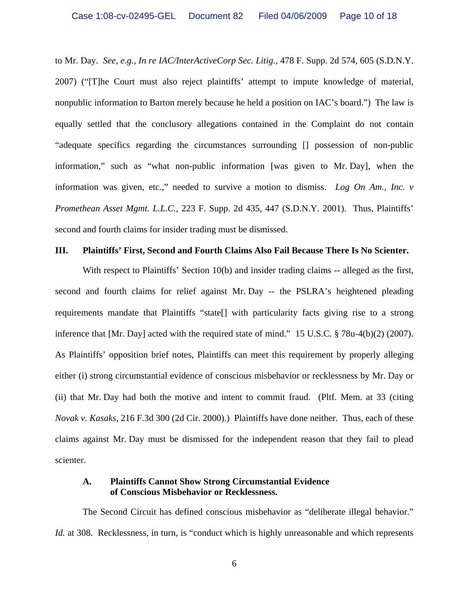to Mr. Day. *See, e.g.*, *In re IAC/InterActiveCorp Sec. Litig.*, 478 F. Supp. 2d 574, 605 (S.D.N.Y. 2007) ("[T]he Court must also reject plaintiffs' attempt to impute knowledge of material, nonpublic information to Barton merely because he held a position on IAC's board.") The law is equally settled that the conclusory allegations contained in the Complaint do not contain "adequate specifics regarding the circumstances surrounding [] possession of non-public information," such as "what non-public information [was given to Mr. Day], when the information was given, etc.," needed to survive a motion to dismiss. *Log On Am., Inc. v Promethean Asset Mgmt. L.L.C.*, 223 F. Supp. 2d 435, 447 (S.D.N.Y. 2001). Thus, Plaintiffs' second and fourth claims for insider trading must be dismissed.

#### **III. Plaintiffs' First, Second and Fourth Claims Also Fail Because There Is No Scienter.**

With respect to Plaintiffs' Section 10(b) and insider trading claims -- alleged as the first, second and fourth claims for relief against Mr. Day -- the PSLRA's heightened pleading requirements mandate that Plaintiffs "state[] with particularity facts giving rise to a strong inference that [Mr. Day] acted with the required state of mind." 15 U.S.C. § 78u-4(b)(2) (2007). As Plaintiffs' opposition brief notes, Plaintiffs can meet this requirement by properly alleging either (i) strong circumstantial evidence of conscious misbehavior or recklessness by Mr. Day or (ii) that Mr. Day had both the motive and intent to commit fraud. (Pltf. Mem. at 33 (citing *Novak v. Kasaks*, 216 F.3d 300 (2d Cir. 2000).) Plaintiffs have done neither. Thus, each of these claims against Mr. Day must be dismissed for the independent reason that they fail to plead scienter.

#### **A. Plaintiffs Cannot Show Strong Circumstantial Evidence of Conscious Misbehavior or Recklessness.**

The Second Circuit has defined conscious misbehavior as "deliberate illegal behavior." *Id.* at 308. Recklessness, in turn, is "conduct which is highly unreasonable and which represents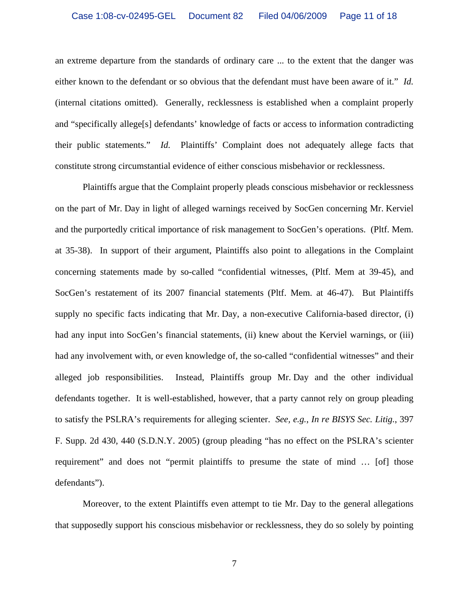an extreme departure from the standards of ordinary care ... to the extent that the danger was either known to the defendant or so obvious that the defendant must have been aware of it." *Id.* (internal citations omitted). Generally, recklessness is established when a complaint properly and "specifically allege[s] defendants' knowledge of facts or access to information contradicting their public statements." *Id.* Plaintiffs' Complaint does not adequately allege facts that constitute strong circumstantial evidence of either conscious misbehavior or recklessness.

Plaintiffs argue that the Complaint properly pleads conscious misbehavior or recklessness on the part of Mr. Day in light of alleged warnings received by SocGen concerning Mr. Kerviel and the purportedly critical importance of risk management to SocGen's operations. (Pltf. Mem. at 35-38). In support of their argument, Plaintiffs also point to allegations in the Complaint concerning statements made by so-called "confidential witnesses, (Pltf. Mem at 39-45), and SocGen's restatement of its 2007 financial statements (Pltf. Mem. at 46-47). But Plaintiffs supply no specific facts indicating that Mr. Day, a non-executive California-based director, (i) had any input into SocGen's financial statements, (ii) knew about the Kerviel warnings, or (iii) had any involvement with, or even knowledge of, the so-called "confidential witnesses" and their alleged job responsibilities. Instead, Plaintiffs group Mr. Day and the other individual defendants together. It is well-established, however, that a party cannot rely on group pleading to satisfy the PSLRA's requirements for alleging scienter. *See, e.g.*, *In re BISYS Sec. Litig.*, 397 F. Supp. 2d 430, 440 (S.D.N.Y. 2005) (group pleading "has no effect on the PSLRA's scienter requirement" and does not "permit plaintiffs to presume the state of mind … [of] those defendants").

Moreover, to the extent Plaintiffs even attempt to tie Mr. Day to the general allegations that supposedly support his conscious misbehavior or recklessness, they do so solely by pointing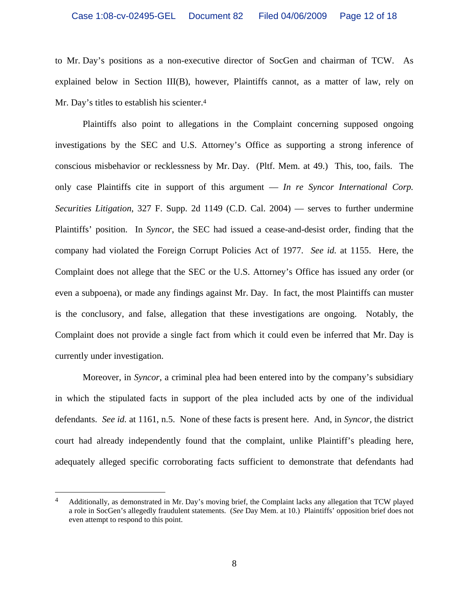to Mr. Day's positions as a non-executive director of SocGen and chairman of TCW. As explained below in Section III(B), however, Plaintiffs cannot, as a matter of law, rely on Mr. Day's titles to establish his scienter.<sup>4</sup>

Plaintiffs also point to allegations in the Complaint concerning supposed ongoing investigations by the SEC and U.S. Attorney's Office as supporting a strong inference of conscious misbehavior or recklessness by Mr. Day. (Pltf. Mem. at 49.) This, too, fails. The only case Plaintiffs cite in support of this argument — *In re Syncor International Corp. Securities Litigation*, 327 F. Supp. 2d 1149 (C.D. Cal. 2004) — serves to further undermine Plaintiffs' position. In *Syncor*, the SEC had issued a cease-and-desist order, finding that the company had violated the Foreign Corrupt Policies Act of 1977. *See id.* at 1155. Here, the Complaint does not allege that the SEC or the U.S. Attorney's Office has issued any order (or even a subpoena), or made any findings against Mr. Day. In fact, the most Plaintiffs can muster is the conclusory, and false, allegation that these investigations are ongoing. Notably, the Complaint does not provide a single fact from which it could even be inferred that Mr. Day is currently under investigation.

Moreover, in *Syncor*, a criminal plea had been entered into by the company's subsidiary in which the stipulated facts in support of the plea included acts by one of the individual defendants. *See id.* at 1161, n.5. None of these facts is present here. And, in *Syncor,* the district court had already independently found that the complaint, unlike Plaintiff's pleading here, adequately alleged specific corroborating facts sufficient to demonstrate that defendants had

1

<sup>4</sup> Additionally, as demonstrated in Mr. Day's moving brief, the Complaint lacks any allegation that TCW played a role in SocGen's allegedly fraudulent statements. (*See* Day Mem. at 10.) Plaintiffs' opposition brief does not even attempt to respond to this point.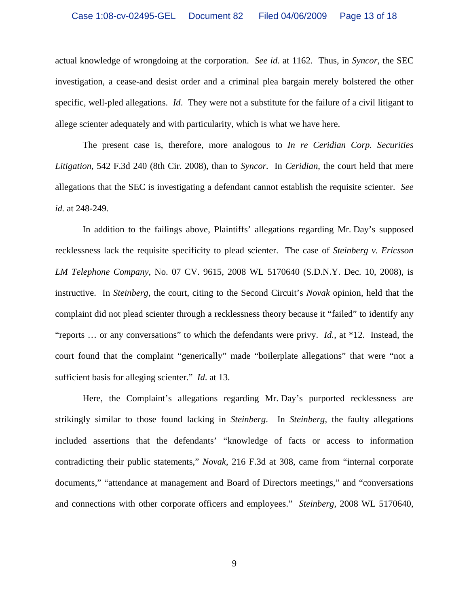actual knowledge of wrongdoing at the corporation. *See id*. at 1162. Thus, in *Syncor,* the SEC investigation, a cease-and desist order and a criminal plea bargain merely bolstered the other specific, well-pled allegations. *Id*. They were not a substitute for the failure of a civil litigant to allege scienter adequately and with particularity, which is what we have here.

The present case is, therefore, more analogous to *In re Ceridian Corp. Securities Litigation*, 542 F.3d 240 (8th Cir. 2008), than to *Syncor.* In *Ceridian*, the court held that mere allegations that the SEC is investigating a defendant cannot establish the requisite scienter. *See id.* at 248-249.

In addition to the failings above, Plaintiffs' allegations regarding Mr. Day's supposed recklessness lack the requisite specificity to plead scienter. The case of *Steinberg v. Ericsson LM Telephone Company*, No. 07 CV. 9615, 2008 WL 5170640 (S.D.N.Y. Dec. 10, 2008), is instructive. In *Steinberg*, the court, citing to the Second Circuit's *Novak* opinion, held that the complaint did not plead scienter through a recklessness theory because it "failed" to identify any "reports … or any conversations" to which the defendants were privy. *Id.*, at \*12. Instead, the court found that the complaint "generically" made "boilerplate allegations" that were "not a sufficient basis for alleging scienter." *Id*. at 13.

Here, the Complaint's allegations regarding Mr. Day's purported recklessness are strikingly similar to those found lacking in *Steinberg*. In *Steinberg*, the faulty allegations included assertions that the defendants' "knowledge of facts or access to information contradicting their public statements," *Novak*, 216 F.3d at 308, came from "internal corporate documents," "attendance at management and Board of Directors meetings," and "conversations and connections with other corporate officers and employees." *Steinberg*, 2008 WL 5170640,

9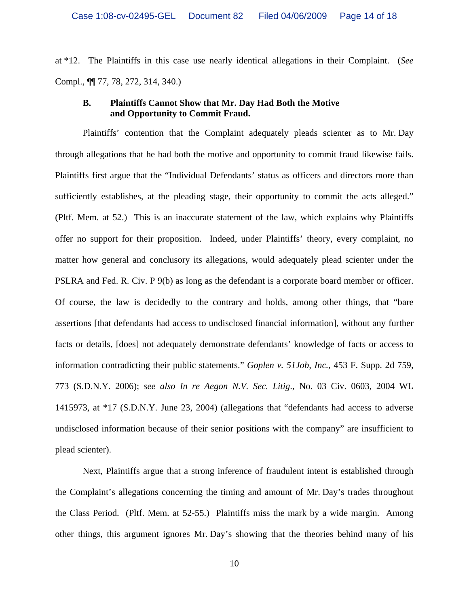at \*12. The Plaintiffs in this case use nearly identical allegations in their Complaint. (*See*  Compl., ¶¶ 77, 78, 272, 314, 340.)

#### **B. Plaintiffs Cannot Show that Mr. Day Had Both the Motive and Opportunity to Commit Fraud.**

Plaintiffs' contention that the Complaint adequately pleads scienter as to Mr. Day through allegations that he had both the motive and opportunity to commit fraud likewise fails. Plaintiffs first argue that the "Individual Defendants' status as officers and directors more than sufficiently establishes, at the pleading stage, their opportunity to commit the acts alleged." (Pltf. Mem. at 52.) This is an inaccurate statement of the law, which explains why Plaintiffs offer no support for their proposition. Indeed, under Plaintiffs' theory, every complaint, no matter how general and conclusory its allegations, would adequately plead scienter under the PSLRA and Fed. R. Civ. P 9(b) as long as the defendant is a corporate board member or officer. Of course, the law is decidedly to the contrary and holds, among other things, that "bare assertions [that defendants had access to undisclosed financial information], without any further facts or details, [does] not adequately demonstrate defendants' knowledge of facts or access to information contradicting their public statements." *Goplen v. 51Job, Inc.*, 453 F. Supp. 2d 759, 773 (S.D.N.Y. 2006); *see also In re Aegon N.V. Sec. Litig*., No. 03 Civ. 0603, 2004 WL 1415973, at \*17 (S.D.N.Y. June 23, 2004) (allegations that "defendants had access to adverse undisclosed information because of their senior positions with the company" are insufficient to plead scienter).

Next, Plaintiffs argue that a strong inference of fraudulent intent is established through the Complaint's allegations concerning the timing and amount of Mr. Day's trades throughout the Class Period. (Pltf. Mem. at 52-55.) Plaintiffs miss the mark by a wide margin. Among other things, this argument ignores Mr. Day's showing that the theories behind many of his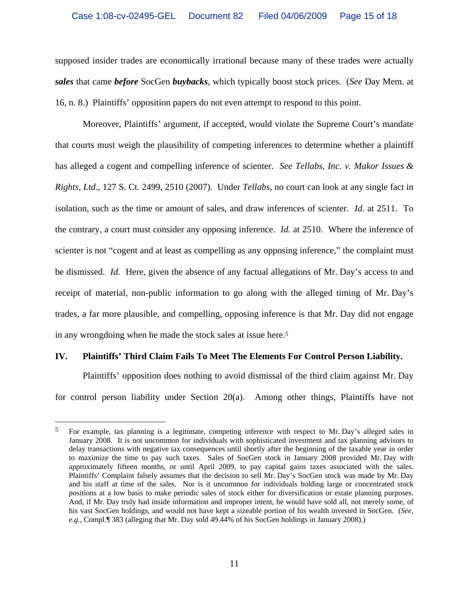supposed insider trades are economically irrational because many of these trades were actually *sales* that came *before* SocGen *buybacks*, which typically boost stock prices. (*See* Day Mem. at 16, n. 8.) Plaintiffs' opposition papers do not even attempt to respond to this point.

Moreover, Plaintiffs' argument, if accepted, would violate the Supreme Court's mandate that courts must weigh the plausibility of competing inferences to determine whether a plaintiff has alleged a cogent and compelling inference of scienter. *See Tellabs, Inc. v. Makor Issues & Rights, Ltd*., 127 S. Ct. 2499, 2510 (2007). Under *Tellabs*, no court can look at any single fact in isolation, such as the time or amount of sales, and draw inferences of scienter. *Id.* at 2511. To the contrary, a court must consider any opposing inference. *Id.* at 2510. Where the inference of scienter is not "cogent and at least as compelling as any opposing inference," the complaint must be dismissed. *Id.* Here, given the absence of any factual allegations of Mr. Day's access to and receipt of material, non-public information to go along with the alleged timing of Mr. Day's trades, a far more plausible, and compelling, opposing inference is that Mr. Day did not engage in any wrongdoing when he made the stock sales at issue here.5

#### **IV. Plaintiffs' Third Claim Fails To Meet The Elements For Control Person Liability.**

 $\overline{a}$ 

Plaintiffs' opposition does nothing to avoid dismissal of the third claim against Mr. Day for control person liability under Section 20(a). Among other things, Plaintiffs have not

<sup>&</sup>lt;sup>5</sup> For example, tax planning is a legitimate, competing inference with respect to Mr. Day's alleged sales in January 2008. It is not uncommon for individuals with sophisticated investment and tax planning advisors to delay transactions with negative tax consequences until shortly after the beginning of the taxable year in order to maximize the time to pay such taxes. Sales of SocGen stock in January 2008 provided Mr. Day with approximately fifteen months, or until April 2009, to pay capital gains taxes associated with the sales. Plaintiffs' Complaint falsely assumes that the decision to sell Mr. Day's SocGen stock was made by Mr. Day and his staff at time of the sales. Nor is it uncommon for individuals holding large or concentrated stock positions at a low basis to make periodic sales of stock either for diversification or estate planning purposes. And, if Mr. Day truly had inside information and improper intent, he would have sold all, not merely some, of his vast SocGen holdings, and would not have kept a sizeable portion of his wealth invested in SocGen. (*See, e.g.*, Compl.¶ 383 (alleging that Mr. Day sold 49.44% of his SocGen holdings in January 2008).)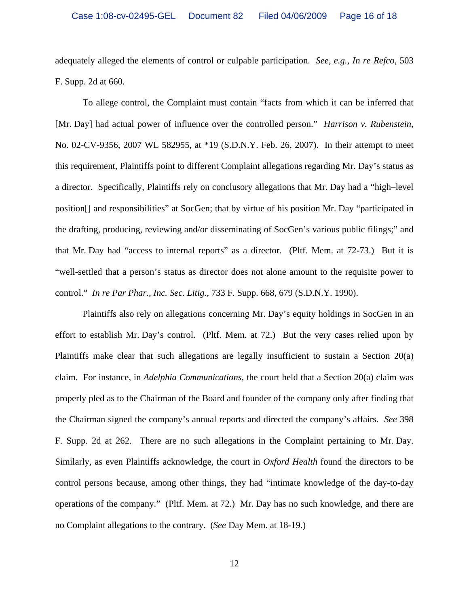adequately alleged the elements of control or culpable participation. *See, e.g., In re Refco*, 503 F. Supp. 2d at 660.

To allege control, the Complaint must contain "facts from which it can be inferred that [Mr. Day] had actual power of influence over the controlled person." *Harrison v. Rubenstein*, No. 02-CV-9356, 2007 WL 582955, at \*19 (S.D.N.Y. Feb. 26, 2007). In their attempt to meet this requirement, Plaintiffs point to different Complaint allegations regarding Mr. Day's status as a director. Specifically, Plaintiffs rely on conclusory allegations that Mr. Day had a "high–level position[] and responsibilities" at SocGen; that by virtue of his position Mr. Day "participated in the drafting, producing, reviewing and/or disseminating of SocGen's various public filings;" and that Mr. Day had "access to internal reports" as a director. (Pltf. Mem. at 72-73.) But it is "well-settled that a person's status as director does not alone amount to the requisite power to control." *In re Par Phar., Inc. Sec. Litig.*, 733 F. Supp. 668, 679 (S.D.N.Y. 1990).

Plaintiffs also rely on allegations concerning Mr. Day's equity holdings in SocGen in an effort to establish Mr. Day's control. (Pltf. Mem. at 72.) But the very cases relied upon by Plaintiffs make clear that such allegations are legally insufficient to sustain a Section 20(a) claim. For instance, in *Adelphia Communications*, the court held that a Section 20(a) claim was properly pled as to the Chairman of the Board and founder of the company only after finding that the Chairman signed the company's annual reports and directed the company's affairs. *See* 398 F. Supp. 2d at 262. There are no such allegations in the Complaint pertaining to Mr. Day. Similarly, as even Plaintiffs acknowledge, the court in *Oxford Health* found the directors to be control persons because, among other things, they had "intimate knowledge of the day-to-day operations of the company." (Pltf. Mem. at 72.) Mr. Day has no such knowledge, and there are no Complaint allegations to the contrary. (*See* Day Mem. at 18-19.)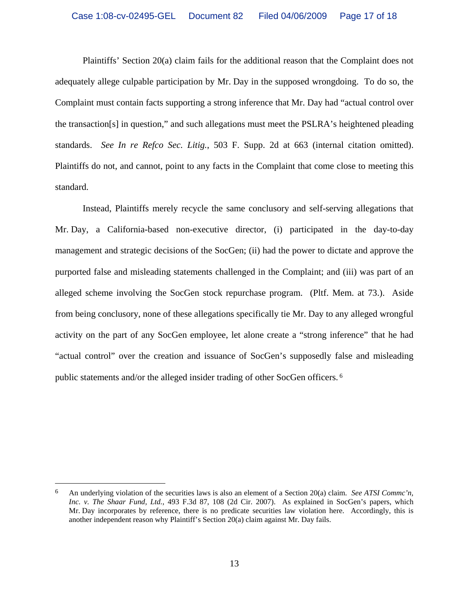Plaintiffs' Section 20(a) claim fails for the additional reason that the Complaint does not adequately allege culpable participation by Mr. Day in the supposed wrongdoing. To do so, the Complaint must contain facts supporting a strong inference that Mr. Day had "actual control over the transaction[s] in question," and such allegations must meet the PSLRA's heightened pleading standards. *See In re Refco Sec. Litig.*, 503 F. Supp. 2d at 663 (internal citation omitted). Plaintiffs do not, and cannot, point to any facts in the Complaint that come close to meeting this standard.

Instead, Plaintiffs merely recycle the same conclusory and self-serving allegations that Mr. Day, a California-based non-executive director, (i) participated in the day-to-day management and strategic decisions of the SocGen; (ii) had the power to dictate and approve the purported false and misleading statements challenged in the Complaint; and (iii) was part of an alleged scheme involving the SocGen stock repurchase program. (Pltf. Mem. at 73.). Aside from being conclusory, none of these allegations specifically tie Mr. Day to any alleged wrongful activity on the part of any SocGen employee, let alone create a "strong inference" that he had "actual control" over the creation and issuance of SocGen's supposedly false and misleading public statements and/or the alleged insider trading of other SocGen officers. 6

<sup>6</sup> An underlying violation of the securities laws is also an element of a Section 20(a) claim. *See ATSI Commc'n, Inc. v. The Shaar Fund, Ltd.*, 493 F.3d 87, 108 (2d Cir. 2007). As explained in SocGen's papers, which Mr. Day incorporates by reference, there is no predicate securities law violation here. Accordingly, this is another independent reason why Plaintiff's Section 20(a) claim against Mr. Day fails.